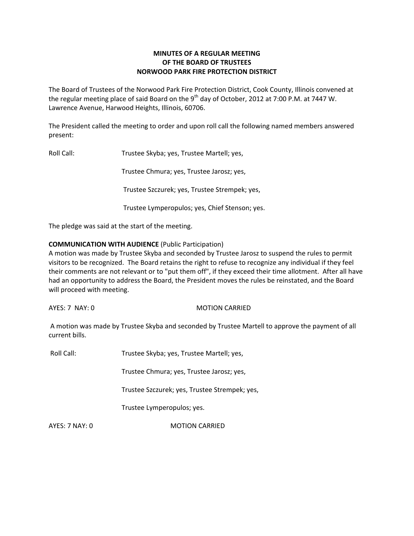# **MINUTES OF A REGULAR MEETING OF THE BOARD OF TRUSTEES NORWOOD PARK FIRE PROTECTION DISTRICT**

The Board of Trustees of the Norwood Park Fire Protection District, Cook County, Illinois convened at the regular meeting place of said Board on the 9<sup>th</sup> day of October, 2012 at 7:00 P.M. at 7447 W. Lawrence Avenue, Harwood Heights, Illinois, 60706.

The President called the meeting to order and upon roll call the following named members answered present:

Roll Call: Trustee Skyba; yes, Trustee Martell; yes,

Trustee Chmura; yes, Trustee Jarosz; yes,

Trustee Szczurek; yes, Trustee Strempek; yes,

Trustee Lymperopulos; yes, Chief Stenson; yes.

The pledge was said at the start of the meeting.

## **COMMUNICATION WITH AUDIENCE** (Public Participation)

A motion was made by Trustee Skyba and seconded by Trustee Jarosz to suspend the rules to permit visitors to be recognized. The Board retains the right to refuse to recognize any individual if they feel their comments are not relevant or to "put them off", if they exceed their time allotment. After all have had an opportunity to address the Board, the President moves the rules be reinstated, and the Board will proceed with meeting.

AYES: 7 NAY: 0 MOTION CARRIED

A motion was made by Trustee Skyba and seconded by Trustee Martell to approve the payment of all current bills.

Roll Call: Trustee Skyba; yes, Trustee Martell; yes,

Trustee Chmura; yes, Trustee Jarosz; yes,

Trustee Szczurek; yes, Trustee Strempek; yes,

Trustee Lymperopulos; yes.

AYES: 7 NAY: 0 MOTION CARRIED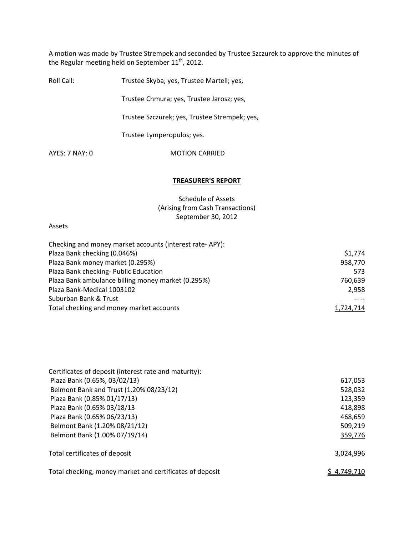A motion was made by Trustee Strempek and seconded by Trustee Szczurek to approve the minutes of the Regular meeting held on September  $11^{\text{th}}$ , 2012.

| Roll Call:       | Trustee Skyba; yes, Trustee Martell; yes,     |
|------------------|-----------------------------------------------|
|                  | Trustee Chmura; yes, Trustee Jarosz; yes,     |
|                  | Trustee Szczurek; yes, Trustee Strempek; yes, |
|                  | Trustee Lymperopulos; yes.                    |
| $AYES: 7$ NAY: 0 | <b>MOTION CARRIED</b>                         |
|                  |                                               |

### **TREASURER'S REPORT**

Schedule of Assets (Arising from Cash Transactions) September 30, 2012

### Assets

| Checking and money market accounts (interest rate-APY): |           |
|---------------------------------------------------------|-----------|
| Plaza Bank checking (0.046%)                            | \$1,774   |
| Plaza Bank money market (0.295%)                        | 958,770   |
| Plaza Bank checking- Public Education                   | 573       |
| Plaza Bank ambulance billing money market (0.295%)      | 760,639   |
| Plaza Bank-Medical 1003102                              | 2,958     |
| Suburban Bank & Trust                                   |           |
| Total checking and money market accounts                | 1,724,714 |

| Certificates of deposit (interest rate and maturity):    |             |
|----------------------------------------------------------|-------------|
| Plaza Bank (0.65%, 03/02/13)                             | 617,053     |
| Belmont Bank and Trust (1.20% 08/23/12)                  | 528,032     |
| Plaza Bank (0.85% 01/17/13)                              | 123,359     |
| Plaza Bank (0.65% 03/18/13                               | 418,898     |
| Plaza Bank (0.65% 06/23/13)                              | 468,659     |
| Belmont Bank (1.20% 08/21/12)                            | 509,219     |
| Belmont Bank (1.00% 07/19/14)                            | 359,776     |
| Total certificates of deposit                            | 3,024,996   |
| Total checking, money market and certificates of deposit | \$4,749,710 |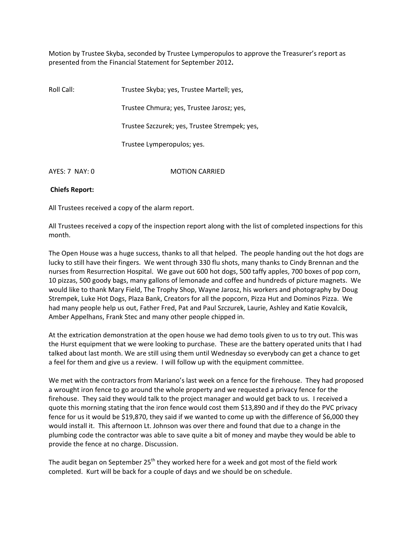Motion by Trustee Skyba, seconded by Trustee Lymperopulos to approve the Treasurer's report as presented from the Financial Statement for September 2012**.**

| Roll Call:     | Trustee Skyba; yes, Trustee Martell; yes,     |
|----------------|-----------------------------------------------|
|                | Trustee Chmura; yes, Trustee Jarosz; yes,     |
|                | Trustee Szczurek; yes, Trustee Strempek; yes, |
|                | Trustee Lymperopulos; yes.                    |
| AYES: 7 NAY: 0 | <b>MOTION CARRIED</b>                         |

### **Chiefs Report:**

All Trustees received a copy of the alarm report.

All Trustees received a copy of the inspection report along with the list of completed inspections for this month.

The Open House was a huge success, thanks to all that helped. The people handing out the hot dogs are lucky to still have their fingers. We went through 330 flu shots, many thanks to Cindy Brennan and the nurses from Resurrection Hospital. We gave out 600 hot dogs, 500 taffy apples, 700 boxes of pop corn, 10 pizzas, 500 goody bags, many gallons of lemonade and coffee and hundreds of picture magnets. We would like to thank Mary Field, The Trophy Shop, Wayne Jarosz, his workers and photography by Doug Strempek, Luke Hot Dogs, Plaza Bank, Creators for all the popcorn, Pizza Hut and Dominos Pizza. We had many people help us out, Father Fred, Pat and Paul Szczurek, Laurie, Ashley and Katie Kovalcik, Amber Appelhans, Frank Stec and many other people chipped in.

At the extrication demonstration at the open house we had demo tools given to us to try out. This was the Hurst equipment that we were looking to purchase. These are the battery operated units that I had talked about last month. We are still using them until Wednesday so everybody can get a chance to get a feel for them and give us a review. I will follow up with the equipment committee.

We met with the contractors from Mariano's last week on a fence for the firehouse. They had proposed a wrought iron fence to go around the whole property and we requested a privacy fence for the firehouse. They said they would talk to the project manager and would get back to us. I received a quote this morning stating that the iron fence would cost them \$13,890 and if they do the PVC privacy fence for us it would be \$19,870, they said if we wanted to come up with the difference of \$6,000 they would install it. This afternoon Lt. Johnson was over there and found that due to a change in the plumbing code the contractor was able to save quite a bit of money and maybe they would be able to provide the fence at no charge. Discussion.

The audit began on September  $25<sup>th</sup>$  they worked here for a week and got most of the field work completed. Kurt will be back for a couple of days and we should be on schedule.